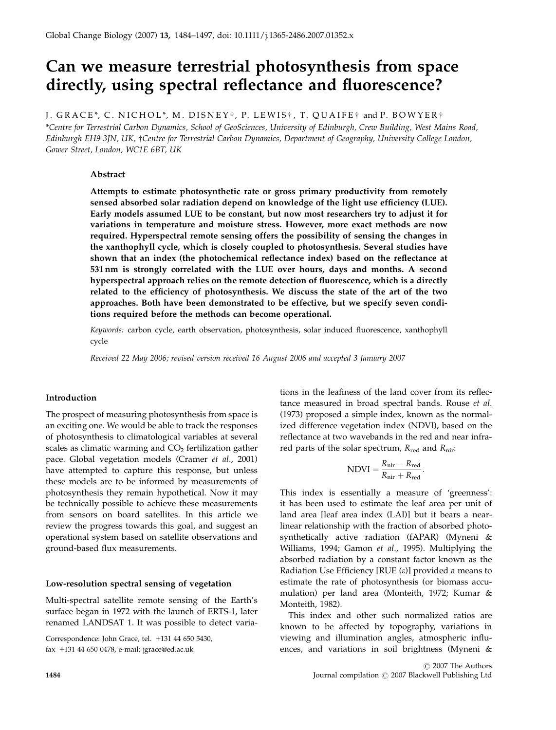# Can we measure terrestrial photosynthesis from space directly, using spectral reflectance and fluorescence?

J. GRACE\*, C. NICHOL\*, M. DISNEY $\dagger$ , P. LEWIS $\dagger$ , T. QUAIFE $\dagger$  and P. BOWYER $\dagger$ \*Centre for Terrestrial Carbon Dynamics, School of GeoSciences, University of Edinburgh, Crew Building, West Mains Road, Edinburgh EH9 3JN, UK, +Centre for Terrestrial Carbon Dynamics, Department of Geography, University College London, Gower Street, London, WC1E 6BT, UK

## Abstract

Attempts to estimate photosynthetic rate or gross primary productivity from remotely sensed absorbed solar radiation depend on knowledge of the light use efficiency (LUE). Early models assumed LUE to be constant, but now most researchers try to adjust it for variations in temperature and moisture stress. However, more exact methods are now required. Hyperspectral remote sensing offers the possibility of sensing the changes in the xanthophyll cycle, which is closely coupled to photosynthesis. Several studies have shown that an index (the photochemical reflectance index) based on the reflectance at 531 nm is strongly correlated with the LUE over hours, days and months. A second hyperspectral approach relies on the remote detection of fluorescence, which is a directly related to the efficiency of photosynthesis. We discuss the state of the art of the two approaches. Both have been demonstrated to be effective, but we specify seven conditions required before the methods can become operational.

Keywords: carbon cycle, earth observation, photosynthesis, solar induced fluorescence, xanthophyll cycle

Received 22 May 2006; revised version received 16 August 2006 and accepted 3 January 2007

## Introduction

The prospect of measuring photosynthesis from space is an exciting one. We would be able to track the responses of photosynthesis to climatological variables at several scales as climatic warming and  $CO<sub>2</sub>$  fertilization gather pace. Global vegetation models (Cramer et al., 2001) have attempted to capture this response, but unless these models are to be informed by measurements of photosynthesis they remain hypothetical. Now it may be technically possible to achieve these measurements from sensors on board satellites. In this article we review the progress towards this goal, and suggest an operational system based on satellite observations and ground-based flux measurements.

## Low-resolution spectral sensing of vegetation

Multi-spectral satellite remote sensing of the Earth's surface began in 1972 with the launch of ERTS-1, later renamed LANDSAT 1. It was possible to detect varia-

Correspondence: John Grace, tel. +131 44 650 5430, fax 1131 44 650 0478, e-mail: jgrace@ed.ac.uk

tions in the leafiness of the land cover from its reflectance measured in broad spectral bands. Rouse et al. (1973) proposed a simple index, known as the normalized difference vegetation index (NDVI), based on the reflectance at two wavebands in the red and near infrared parts of the solar spectrum,  $R_{\text{red}}$  and  $R_{\text{nir}}$ :

$$
NDVI = \frac{R_{\text{nir}} - R_{\text{red}}}{R_{\text{nir}} + R_{\text{red}}}.
$$

This index is essentially a measure of 'greenness': it has been used to estimate the leaf area per unit of land area [leaf area index (LAI)] but it bears a nearlinear relationship with the fraction of absorbed photosynthetically active radiation (fAPAR) (Myneni & Williams, 1994; Gamon et al., 1995). Multiplying the absorbed radiation by a constant factor known as the Radiation Use Efficiency [RUE (e)] provided a means to estimate the rate of photosynthesis (or biomass accumulation) per land area (Monteith, 1972; Kumar & Monteith, 1982).

This index and other such normalized ratios are known to be affected by topography, variations in viewing and illumination angles, atmospheric influences, and variations in soil brightness (Myneni &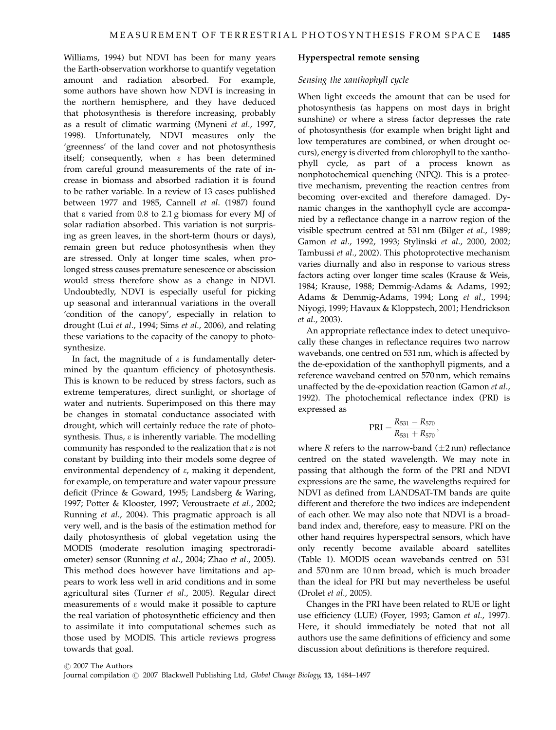Williams, 1994) but NDVI has been for many years the Earth-observation workhorse to quantify vegetation amount and radiation absorbed. For example, some authors have shown how NDVI is increasing in the northern hemisphere, and they have deduced that photosynthesis is therefore increasing, probably as a result of climatic warming (Myneni et al., 1997, 1998). Unfortunately, NDVI measures only the 'greenness' of the land cover and not photosynthesis itself; consequently, when  $\varepsilon$  has been determined from careful ground measurements of the rate of increase in biomass and absorbed radiation it is found to be rather variable. In a review of 13 cases published between 1977 and 1985, Cannell et al. (1987) found that e varied from 0.8 to 2.1 g biomass for every MJ of solar radiation absorbed. This variation is not surprising as green leaves, in the short-term (hours or days), remain green but reduce photosynthesis when they are stressed. Only at longer time scales, when prolonged stress causes premature senescence or abscission would stress therefore show as a change in NDVI. Undoubtedly, NDVI is especially useful for picking up seasonal and interannual variations in the overall 'condition of the canopy', especially in relation to drought (Lui et al., 1994; Sims et al., 2006), and relating these variations to the capacity of the canopy to photosynthesize.

In fact, the magnitude of  $\varepsilon$  is fundamentally determined by the quantum efficiency of photosynthesis. This is known to be reduced by stress factors, such as extreme temperatures, direct sunlight, or shortage of water and nutrients. Superimposed on this there may be changes in stomatal conductance associated with drought, which will certainly reduce the rate of photosynthesis. Thus,  $\varepsilon$  is inherently variable. The modelling community has responded to the realization that  $\varepsilon$  is not constant by building into their models some degree of environmental dependency of  $\varepsilon$ , making it dependent, for example, on temperature and water vapour pressure deficit (Prince & Goward, 1995; Landsberg & Waring, 1997; Potter & Klooster, 1997; Veroustraete et al., 2002; Running et al., 2004). This pragmatic approach is all very well, and is the basis of the estimation method for daily photosynthesis of global vegetation using the MODIS (moderate resolution imaging spectroradiometer) sensor (Running et al., 2004; Zhao et al., 2005). This method does however have limitations and appears to work less well in arid conditions and in some agricultural sites (Turner et al., 2005). Regular direct measurements of  $\varepsilon$  would make it possible to capture the real variation of photosynthetic efficiency and then to assimilate it into computational schemes such as those used by MODIS. This article reviews progress towards that goal.

#### Hyperspectral remote sensing

#### Sensing the xanthophyll cycle

When light exceeds the amount that can be used for photosynthesis (as happens on most days in bright sunshine) or where a stress factor depresses the rate of photosynthesis (for example when bright light and low temperatures are combined, or when drought occurs), energy is diverted from chlorophyll to the xanthophyll cycle, as part of a process known as nonphotochemical quenching (NPQ). This is a protective mechanism, preventing the reaction centres from becoming over-excited and therefore damaged. Dynamic changes in the xanthophyll cycle are accompanied by a reflectance change in a narrow region of the visible spectrum centred at 531 nm (Bilger et al., 1989; Gamon et al., 1992, 1993; Stylinski et al., 2000, 2002; Tambussi et al., 2002). This photoprotective mechanism varies diurnally and also in response to various stress factors acting over longer time scales (Krause & Weis, 1984; Krause, 1988; Demmig-Adams & Adams, 1992; Adams & Demmig-Adams, 1994; Long et al., 1994; Niyogi, 1999; Havaux & Kloppstech, 2001; Hendrickson et al., 2003).

An appropriate reflectance index to detect unequivocally these changes in reflectance requires two narrow wavebands, one centred on 531 nm, which is affected by the de-epoxidation of the xanthophyll pigments, and a reference waveband centred on 570 nm, which remains unaffected by the de-epoxidation reaction (Gamon et al., 1992). The photochemical reflectance index (PRI) is expressed as

$$
PRI = \frac{R_{531} - R_{570}}{R_{531} + R_{570}},
$$

where R refers to the narrow-band  $(\pm 2 \text{ nm})$  reflectance centred on the stated wavelength. We may note in passing that although the form of the PRI and NDVI expressions are the same, the wavelengths required for NDVI as defined from LANDSAT-TM bands are quite different and therefore the two indices are independent of each other. We may also note that NDVI is a broadband index and, therefore, easy to measure. PRI on the other hand requires hyperspectral sensors, which have only recently become available aboard satellites (Table 1). MODIS ocean wavebands centred on 531 and 570 nm are 10 nm broad, which is much broader than the ideal for PRI but may nevertheless be useful (Drolet et al., 2005).

Changes in the PRI have been related to RUE or light use efficiency (LUE) (Foyer, 1993; Gamon et al., 1997). Here, it should immediately be noted that not all authors use the same definitions of efficiency and some discussion about definitions is therefore required.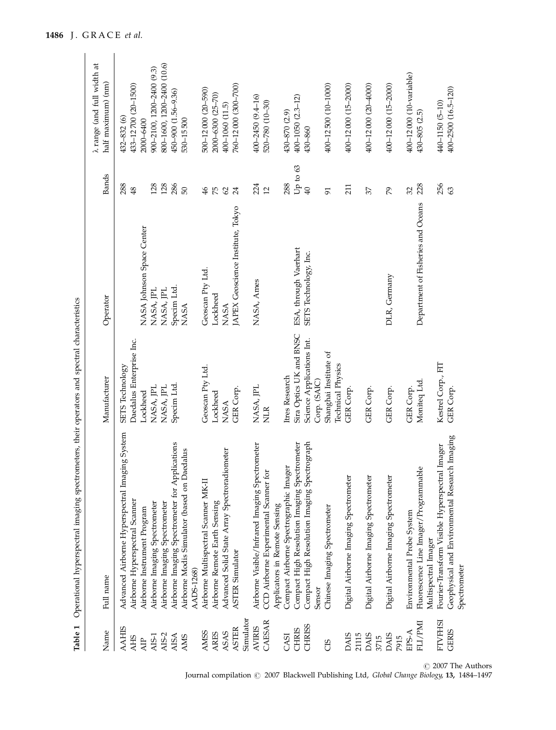| Name                      | Full name                                                                               | Manufacturer                                      | Operator                           | <b>Bands</b>  | $\lambda$ range (and full width at<br>half maximum) (nm) |
|---------------------------|-----------------------------------------------------------------------------------------|---------------------------------------------------|------------------------------------|---------------|----------------------------------------------------------|
| <b>AAHIS</b><br>AHS       | ging System<br>Advanced Airborne Hyperspectral Ima<br>Airborne Hyperspectral Scanner    | Daedalus Enterprise Inc.<br>SETS Technology       |                                    | 288<br>48     | 433-12700 (20-1500)<br>432-832 (6)                       |
| $\overline{AB}$           | Airborne Instrument Program                                                             | Lockheed                                          | NASA Johnson Space Center          |               | 2000-6400                                                |
| AIS-1                     | Airborne Imaging Spectrometer                                                           | NASA, JPL                                         | NASA, JPL                          | 128           | 900-2100, 1200-2400 (9.3)                                |
| AIS-2                     | Airborne Imaging Spectrometer                                                           | NASA, JPL                                         | NASA, JPL                          | 128           | 800-1600, 1200-2400 (10.6)                               |
| <b>AISA</b>               | Airborne Imaging Spectrometer for Applications                                          | Specim Ltd                                        | Specim Ltd                         | 286           | 450-900 (1.56-9.36)                                      |
| <b>AMS</b>                | Airborne Modis Simulator (based on Daedalus<br>AADS-1268)                               |                                                   | <b>NASA</b>                        | $50\,$        | 530-15500                                                |
| <b>AMSS</b>               | Airborne Multispectral Scanner MK-II                                                    | Geoscan Pty Ltd                                   | Geoscan Pty Ltd.                   | $\frac{4}{6}$ | 500-12000 (20-590)                                       |
| <b>ARES</b>               | Airborne Remote Earth Sensing                                                           | Lockheed                                          | Lockheed                           | F5<br>62      | 2000-6300 (25-70)                                        |
| <b>ASAS</b>               | Advanced Solid State Array Spectroradiometer                                            | <b>NASA</b>                                       | <b>NASA</b>                        |               | 400-1060 (11.5)                                          |
| Simulator<br><b>ASTER</b> | <b>ASTER Simulator</b>                                                                  | GER Corp.                                         | JAPEX Geoscience Institute, Tokyo  | 24            | 760-12000 (300-700)                                      |
|                           |                                                                                         |                                                   |                                    |               |                                                          |
| CAESAR<br><b>AVIRIS</b>   | Airborne Visible/Infrared Imaging Spectrometer<br>CCD Airborne Experimental Scanner for | NASA, JPL<br><b>NLR</b>                           | NASA, Ames                         | 224<br>12     | 400-2450 (9.4-16)<br>520-780 (10-30)                     |
|                           | Applicators in Remote Sensing                                                           |                                                   |                                    |               |                                                          |
| CASI                      | Compact Airborne Spectrographic Imager                                                  | Itres Research                                    |                                    | 288           | 430-870 (2.9)                                            |
| <b>CHRIS</b>              | Compact High Resolution Imaging Spectrometer                                            | Sira Optics UK and BNSC                           | ESA, through Vaerhart              | Up to 63      | 400-1050 (2.3-12)                                        |
| CHRISS                    | Compact High Resolution Imaging Spectrograph                                            | Science Applications Int.                         | SETS Technology, Inc.              | $\Theta$      | 430-860                                                  |
|                           | Sensor                                                                                  | Corp. (SAIC)                                      |                                    |               |                                                          |
| CIS                       | Chinese Imaging Spectrometer                                                            | Shanghai Institute of<br><b>Technical Physics</b> |                                    | 51            | 400-12500 (10-1000)                                      |
| 21115<br><b>DAIS</b>      | Digital Airborne Imaging Spectrometer                                                   | GER Corp.                                         |                                    | 211           | 400-12000 (15-2000)                                      |
| <b>DAIS</b><br>3715       | Digital Airborne Imaging Spectrometer                                                   | GER Corp.                                         |                                    | 57            | 400-12000 (20-4000)                                      |
| <b>DAIS</b><br>7915       | Digital Airborne Imaging Spectrometer                                                   | GER Corp.                                         | DLR, Germany                       | 54            | 400-12000 (15-2000)                                      |
| EPS-A                     | Environmental Probe System                                                              | GER Corp.                                         |                                    | 32            | 400-12000 (10-variable)                                  |
| INd/LTE                   | Fluorescence Line Imager/Programmable<br>Multispectral Imager                           | Moniteq Ltd                                       | Department of Fisheries and Oceans | 228           | 430-805 (2.5)                                            |
| <b>FTVFHSI</b>            | Fourier-Transform Visible Hyperspectral Imager                                          | Kestrel Corp., FIT                                |                                    | 256           | 440-1150 (5-10)                                          |
| GERIS                     | Geophysical and Environmental Research Imaging<br>Spectrometer                          | GER Corp.                                         |                                    | $\mathcal{S}$ | 400-2500 (16.5-120)                                      |

Table 1 Operational hyperspectral imaging spectrometers, their operators and spectral characteristics Table 1 Operational hyperspectral imaging spectrometers, their operators and spectral characteristics

 $\odot$  2007 The Authors

Journal compilation  $\odot$  2007 Blackwell Publishing Ltd, Global Change Biology, 13, 1484–1497

 $\frac{1}{\sqrt{2}}$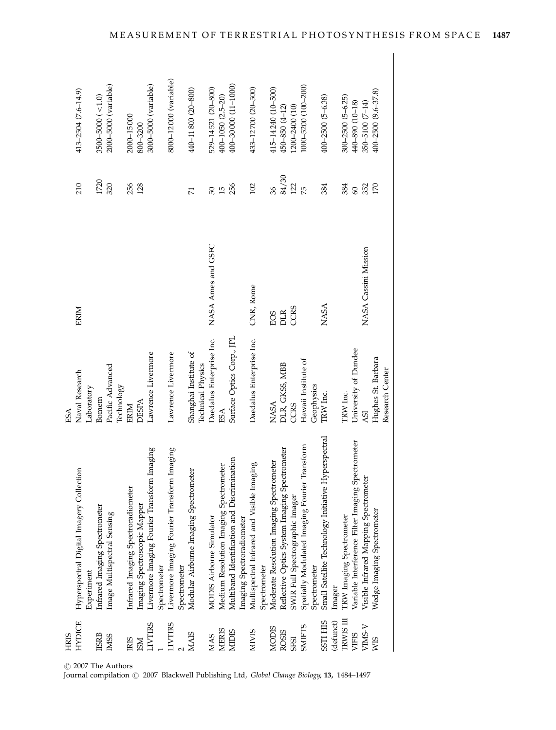|             | 413-2504 (7.6-14.9)                      |            | $3500 - 5000 (-1.0)$          | 2000-5000 (variable)           | 2000-15000                         | 800-3200                     | 3000–5000 (variable)                        |              | 8000-12000 (variable)                       |              | 440-11800 (20-800)                                | 529-14521 (20-800)              | $400 - 1050$ $(2.5 - 20)$              | 400-30000 (11-1000)                         |                           | 433-12700 (20-500)                                         | 415-14240 (10-500)                       | 450-850 (4-12)                                   | 1200-2400 (10)                  | 1000-5200 (100-200)                           |              | $400 - 2500$ (5-6.38)                               |           | $300 - 2500$ $(5 - 6.25)$ | 440-890 (10-18)                                   | 350-5100 (7-14)                       | 400-2500 (9.6-37.8)        |                 |
|-------------|------------------------------------------|------------|-------------------------------|--------------------------------|------------------------------------|------------------------------|---------------------------------------------|--------------|---------------------------------------------|--------------|---------------------------------------------------|---------------------------------|----------------------------------------|---------------------------------------------|---------------------------|------------------------------------------------------------|------------------------------------------|--------------------------------------------------|---------------------------------|-----------------------------------------------|--------------|-----------------------------------------------------|-----------|---------------------------|---------------------------------------------------|---------------------------------------|----------------------------|-----------------|
|             | 210                                      |            | 1720                          | 320                            | 256                                | 128                          |                                             |              |                                             |              | $\overline{\Sigma}$                               | 50                              | 15                                     | 256                                         |                           | 102                                                        | 36                                       | 84/30                                            | 122                             | $\overline{5}$                                |              | 384                                                 |           | 384                       | $\infty$                                          | 352                                   | 170                        |                 |
|             | ERIM                                     |            |                               |                                |                                    |                              |                                             |              |                                             |              |                                                   | NASA Ames and GSFC              |                                        |                                             |                           | CNR, Rome                                                  | EOS                                      | DLR<br>CCRS                                      |                                 |                                               |              | <b>NASA</b>                                         |           |                           |                                                   | NASA Cassini Mission                  |                            |                 |
| ESA         | Naval Research                           | Laboratory | Bomem                         | Pacific Advanced<br>Technology | ERIM                               | <b>DESPA</b>                 | Lawrence Livermore                          |              | Lawrence Livernore                          |              | Shanghai Institute of<br><b>Technical Physics</b> | Daedalus Enterprise Inc.        | ESA                                    | Surface Optics Corp., JPL                   |                           | Daedalus Enterprise Inc.                                   | <b>NASA</b>                              | DLR, GKSS, MBB                                   | <b>CCRS</b>                     | Hawaii Institute of                           | Geophysics   | TRW Inc.                                            |           | TRW Inc.                  | University of Dundee                              | ASI                                   | Hughes St. Barbara         | Research Center |
|             | Hyperspectral Digital Imagery Collection | Experiment | Infrared Imaging Spectrometer | Image Multispectral Sensing    | Infrared Imaging Spectroradiometer | Imaging Spectroscopic Mapper | Livermore Imaging Fourier Transform Imaging | Spectrometer | Livermore Imaging Fourier Transform Imaging | Spectrometer | Modular Airborne Imaging Spectrometer             | <b>MODIS Airborne Simulator</b> | Medium Resolution Imaging Spectrometer | Multiband Identification and Discrimination | Imaging Spectroradiometer | Multispectral Infrared and Visible Imaging<br>Spectrometer | Moderate Resolution Imaging Spectrometer | Spectrometer<br>Reflective Optics System Imaging | SWIR Full Spectrographic Imager | Spatially Modulated Imaging Fourier Transform | Spectrometer | Small Satellite Technology Initiative Hyperspectral | Imager    | TRW Imaging Spectrometer  | Variable Interference Filter Imaging Spectrometer | Visible Infrared Mapping Spectrometer | Wedge Imaging Spectrometer |                 |
| <b>HRIS</b> | <b>HYDICE</b>                            |            | <b>IISRB</b>                  | <b>IMSS</b>                    | <b>IRIS</b>                        | ISM                          | LIVTIRS                                     |              | <b>LIVTIRS</b>                              |              | <b>MAIS</b>                                       | <b>MAS</b>                      | <b>MERIS</b>                           | NIDIS                                       |                           | <b>NIVIS</b>                                               | <b>MODIS</b>                             | <b>ROSIS</b>                                     | <b>SFSI</b>                     | <b>SMIFTS</b>                                 |              | SSTIHIS                                             | (defunct) | <b>TRWIS III</b>          | VIFIS                                             | VIM <sub>S-V</sub>                    | NIS                        |                 |

 $\odot$  2007 The Authors

Journal compilation © 2007 Blackwell Publishing Ltd, Global Change Biology, 13, 1484–1497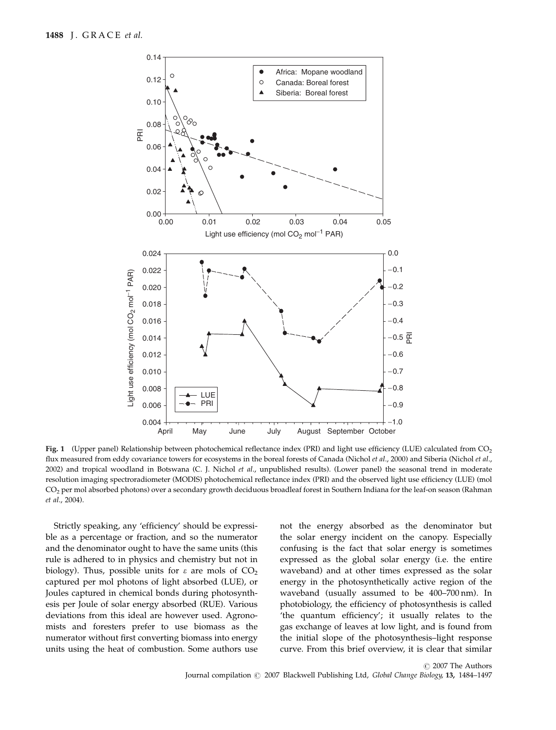

Fig. 1 (Upper panel) Relationship between photochemical reflectance index (PRI) and light use efficiency (LUE) calculated from CO2 flux measured from eddy covariance towers for ecosystems in the boreal forests of Canada (Nichol et al., 2000) and Siberia (Nichol et al., 2002) and tropical woodland in Botswana (C. J. Nichol et al., unpublished results). (Lower panel) the seasonal trend in moderate resolution imaging spectroradiometer (MODIS) photochemical reflectance index (PRI) and the observed light use efficiency (LUE) (mol CO<sub>2</sub> per mol absorbed photons) over a secondary growth deciduous broadleaf forest in Southern Indiana for the leaf-on season (Rahman et al., 2004).

Strictly speaking, any 'efficiency' should be expressible as a percentage or fraction, and so the numerator and the denominator ought to have the same units (this rule is adhered to in physics and chemistry but not in biology). Thus, possible units for  $\varepsilon$  are mols of  $CO<sub>2</sub>$ captured per mol photons of light absorbed (LUE), or Joules captured in chemical bonds during photosynthesis per Joule of solar energy absorbed (RUE). Various deviations from this ideal are however used. Agronomists and foresters prefer to use biomass as the numerator without first converting biomass into energy units using the heat of combustion. Some authors use not the energy absorbed as the denominator but the solar energy incident on the canopy. Especially confusing is the fact that solar energy is sometimes expressed as the global solar energy (i.e. the entire waveband) and at other times expressed as the solar energy in the photosynthetically active region of the waveband (usually assumed to be 400–700 nm). In photobiology, the efficiency of photosynthesis is called 'the quantum efficiency'; it usually relates to the gas exchange of leaves at low light, and is found from the initial slope of the photosynthesis–light response curve. From this brief overview, it is clear that similar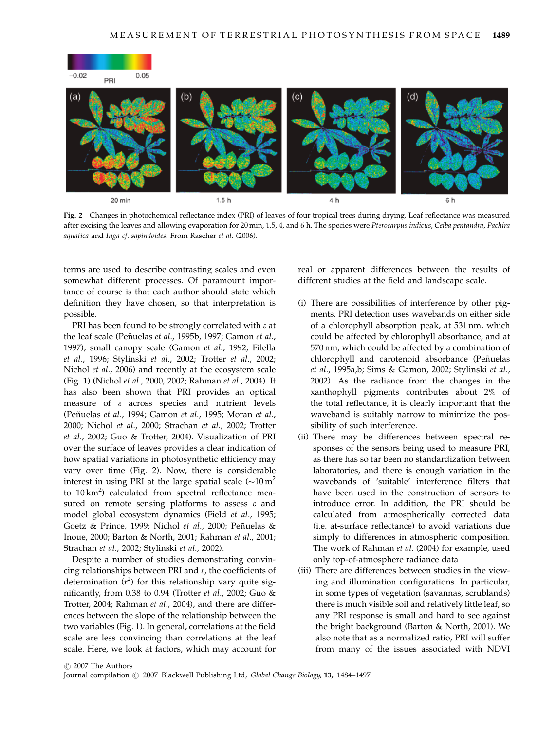

Fig. 2 Changes in photochemical reflectance index (PRI) of leaves of four tropical trees during drying. Leaf reflectance was measured after excising the leaves and allowing evaporation for 20 min, 1.5, 4, and 6 h. The species were Pterocarpus indicus, Ceiba pentandra, Pachira aquatica and Inga cf. sapindoides. From Rascher et al. (2006).

terms are used to describe contrasting scales and even somewhat different processes. Of paramount importance of course is that each author should state which definition they have chosen, so that interpretation is possible.

PRI has been found to be strongly correlated with  $\varepsilon$  at the leaf scale (Peñuelas et al., 1995b, 1997; Gamon et al., 1997), small canopy scale (Gamon et al., 1992; Filella et al., 1996; Stylinski et al., 2002; Trotter et al., 2002; Nichol et al., 2006) and recently at the ecosystem scale (Fig. 1) (Nichol et al., 2000, 2002; Rahman et al., 2004). It has also been shown that PRI provides an optical measure of  $\varepsilon$  across species and nutrient levels (Peñuelas et al., 1994; Gamon et al., 1995; Moran et al., 2000; Nichol et al., 2000; Strachan et al., 2002; Trotter et al., 2002; Guo & Trotter, 2004). Visualization of PRI over the surface of leaves provides a clear indication of how spatial variations in photosynthetic efficiency may vary over time (Fig. 2). Now, there is considerable interest in using PRI at the large spatial scale  $({\sim}10 \text{ m}^2$ to 10 km<sup>2</sup>) calculated from spectral reflectance measured on remote sensing platforms to assess  $\varepsilon$  and model global ecosystem dynamics (Field et al., 1995; Goetz & Prince, 1999; Nichol et al., 2000; Peñuelas & Inoue, 2000; Barton & North, 2001; Rahman et al., 2001; Strachan et al., 2002; Stylinski et al., 2002).

Despite a number of studies demonstrating convincing relationships between PRI and  $\varepsilon$ , the coefficients of determination  $(r^2)$  for this relationship vary quite significantly, from 0.38 to 0.94 (Trotter et al., 2002; Guo & Trotter, 2004; Rahman et al., 2004), and there are differences between the slope of the relationship between the two variables (Fig. 1). In general, correlations at the field scale are less convincing than correlations at the leaf scale. Here, we look at factors, which may account for real or apparent differences between the results of different studies at the field and landscape scale.

- (i) There are possibilities of interference by other pigments. PRI detection uses wavebands on either side of a chlorophyll absorption peak, at 531 nm, which could be affected by chlorophyll absorbance, and at 570 nm, which could be affected by a combination of chlorophyll and carotenoid absorbance (Peñuelas et al., 1995a,b; Sims & Gamon, 2002; Stylinski et al., 2002). As the radiance from the changes in the xanthophyll pigments contributes about 2% of the total reflectance, it is clearly important that the waveband is suitably narrow to minimize the possibility of such interference.
- (ii) There may be differences between spectral responses of the sensors being used to measure PRI, as there has so far been no standardization between laboratories, and there is enough variation in the wavebands of 'suitable' interference filters that have been used in the construction of sensors to introduce error. In addition, the PRI should be calculated from atmospherically corrected data (i.e. at-surface reflectance) to avoid variations due simply to differences in atmospheric composition. The work of Rahman et al. (2004) for example, used only top-of-atmosphere radiance data
- (iii) There are differences between studies in the viewing and illumination configurations. In particular, in some types of vegetation (savannas, scrublands) there is much visible soil and relatively little leaf, so any PRI response is small and hard to see against the bright background (Barton & North, 2001). We also note that as a normalized ratio, PRI will suffer from many of the issues associated with NDVI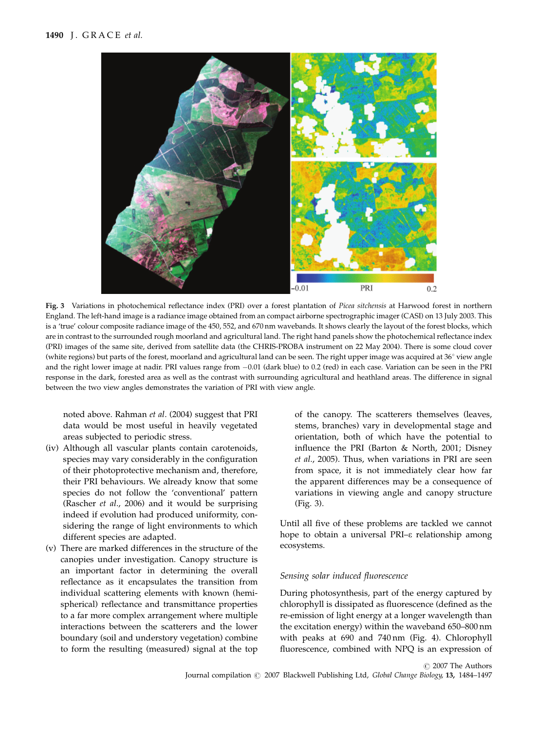

Fig. 3 Variations in photochemical reflectance index (PRI) over a forest plantation of Picea sitchensis at Harwood forest in northern England. The left-hand image is a radiance image obtained from an compact airborne spectrographic imager (CASI) on 13 July 2003. This is a 'true' colour composite radiance image of the 450, 552, and 670 nm wavebands. It shows clearly the layout of the forest blocks, which are in contrast to the surrounded rough moorland and agricultural land. The right hand panels show the photochemical reflectance index (PRI) images of the same site, derived from satellite data (the CHRIS-PROBA instrument on 22 May 2004). There is some cloud cover (white regions) but parts of the forest, moorland and agricultural land can be seen. The right upper image was acquired at 36*1* view angle and the right lower image at nadir. PRI values range from  $-0.01$  (dark blue) to 0.2 (red) in each case. Variation can be seen in the PRI response in the dark, forested area as well as the contrast with surrounding agricultural and heathland areas. The difference in signal between the two view angles demonstrates the variation of PRI with view angle.

noted above. Rahman et al. (2004) suggest that PRI data would be most useful in heavily vegetated areas subjected to periodic stress.

- (iv) Although all vascular plants contain carotenoids, species may vary considerably in the configuration of their photoprotective mechanism and, therefore, their PRI behaviours. We already know that some species do not follow the 'conventional' pattern (Rascher et al., 2006) and it would be surprising indeed if evolution had produced uniformity, considering the range of light environments to which different species are adapted.
- (v) There are marked differences in the structure of the canopies under investigation. Canopy structure is an important factor in determining the overall reflectance as it encapsulates the transition from individual scattering elements with known (hemispherical) reflectance and transmittance properties to a far more complex arrangement where multiple interactions between the scatterers and the lower boundary (soil and understory vegetation) combine to form the resulting (measured) signal at the top

of the canopy. The scatterers themselves (leaves, stems, branches) vary in developmental stage and orientation, both of which have the potential to influence the PRI (Barton & North, 2001; Disney et al., 2005). Thus, when variations in PRI are seen from space, it is not immediately clear how far the apparent differences may be a consequence of variations in viewing angle and canopy structure (Fig. 3).

Until all five of these problems are tackled we cannot hope to obtain a universal PRI–e relationship among ecosystems.

#### Sensing solar induced fluorescence

During photosynthesis, part of the energy captured by chlorophyll is dissipated as fluorescence (defined as the re-emission of light energy at a longer wavelength than the excitation energy) within the waveband 650–800 nm with peaks at 690 and 740 nm (Fig. 4). Chlorophyll fluorescence, combined with NPQ is an expression of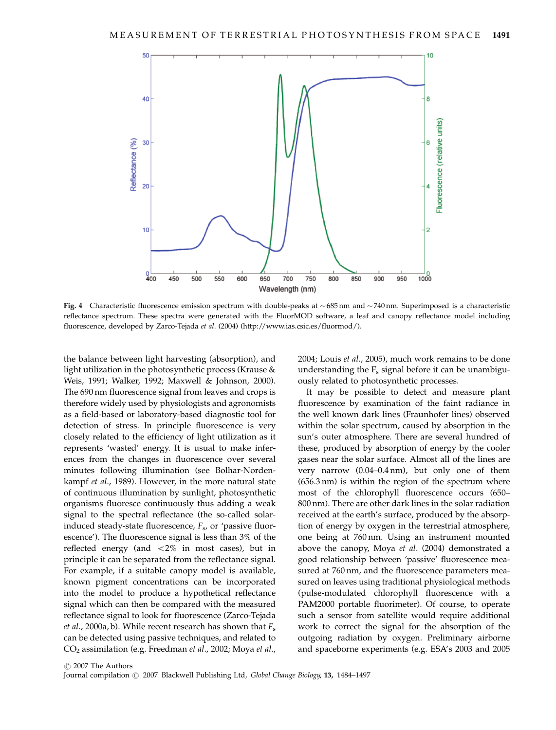

Fig. 4 Characteristic fluorescence emission spectrum with double-peaks at  $\sim 685$  nm and  $\sim 740$  nm. Superimposed is a characteristic reflectance spectrum. These spectra were generated with the FluorMOD software, a leaf and canopy reflectance model including fluorescence, developed by Zarco-Tejada et al. (2004) (http://www.ias.csic.es/fluormod/).

the balance between light harvesting (absorption), and light utilization in the photosynthetic process (Krause & Weis, 1991; Walker, 1992; Maxwell & Johnson, 2000). The 690 nm fluorescence signal from leaves and crops is therefore widely used by physiologists and agronomists as a field-based or laboratory-based diagnostic tool for detection of stress. In principle fluorescence is very closely related to the efficiency of light utilization as it represents 'wasted' energy. It is usual to make inferences from the changes in fluorescence over several minutes following illumination (see Bolhar-Nordenkampf et al., 1989). However, in the more natural state of continuous illumination by sunlight, photosynthetic organisms fluoresce continuously thus adding a weak signal to the spectral reflectance (the so-called solarinduced steady-state fluorescence,  $F_s$ , or 'passive fluorescence'). The fluorescence signal is less than 3% of the reflected energy (and  $\langle 2\%$  in most cases), but in principle it can be separated from the reflectance signal. For example, if a suitable canopy model is available, known pigment concentrations can be incorporated into the model to produce a hypothetical reflectance signal which can then be compared with the measured reflectance signal to look for fluorescence (Zarco-Tejada *et al.*, 2000a, b). While recent research has shown that  $F_s$ can be detected using passive techniques, and related to CO2 assimilation (e.g. Freedman et al., 2002; Moya et al., 2004; Louis et al., 2005), much work remains to be done understanding the  $F_s$  signal before it can be unambiguously related to photosynthetic processes.

It may be possible to detect and measure plant fluorescence by examination of the faint radiance in the well known dark lines (Fraunhofer lines) observed within the solar spectrum, caused by absorption in the sun's outer atmosphere. There are several hundred of these, produced by absorption of energy by the cooler gases near the solar surface. Almost all of the lines are very narrow (0.04–0.4 nm), but only one of them (656.3 nm) is within the region of the spectrum where most of the chlorophyll fluorescence occurs (650– 800 nm). There are other dark lines in the solar radiation received at the earth's surface, produced by the absorption of energy by oxygen in the terrestrial atmosphere, one being at 760 nm. Using an instrument mounted above the canopy, Moya et al. (2004) demonstrated a good relationship between 'passive' fluorescence measured at 760 nm, and the fluorescence parameters measured on leaves using traditional physiological methods (pulse-modulated chlorophyll fluorescence with a PAM2000 portable fluorimeter). Of course, to operate such a sensor from satellite would require additional work to correct the signal for the absorption of the outgoing radiation by oxygen. Preliminary airborne and spaceborne experiments (e.g. ESA's 2003 and 2005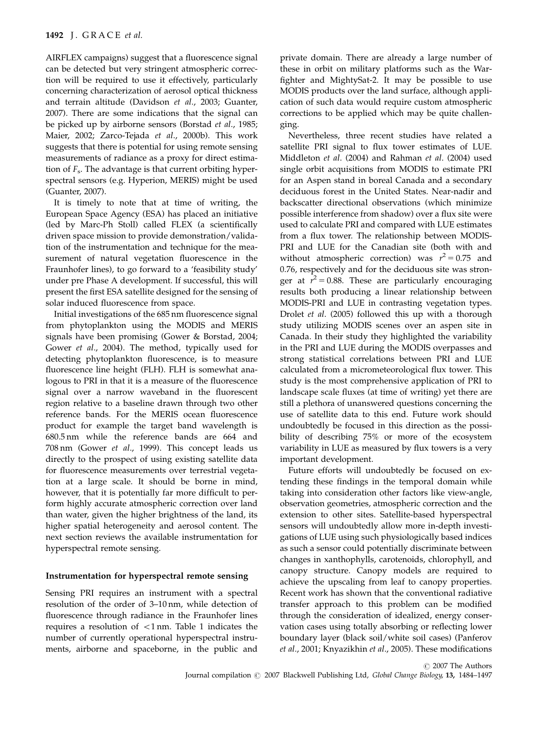AIRFLEX campaigns) suggest that a fluorescence signal can be detected but very stringent atmospheric correction will be required to use it effectively, particularly concerning characterization of aerosol optical thickness and terrain altitude (Davidson et al., 2003; Guanter, 2007). There are some indications that the signal can be picked up by airborne sensors (Borstad et al., 1985; Maier, 2002; Zarco-Tejada et al., 2000b). This work suggests that there is potential for using remote sensing measurements of radiance as a proxy for direct estimation of  $F_s$ . The advantage is that current orbiting hyperspectral sensors (e.g. Hyperion, MERIS) might be used (Guanter, 2007).

It is timely to note that at time of writing, the European Space Agency (ESA) has placed an initiative (led by Marc-Ph Stoll) called FLEX (a scientifically driven space mission to provide demonstration/validation of the instrumentation and technique for the measurement of natural vegetation fluorescence in the Fraunhofer lines), to go forward to a 'feasibility study' under pre Phase A development. If successful, this will present the first ESA satellite designed for the sensing of solar induced fluorescence from space.

Initial investigations of the 685 nm fluorescence signal from phytoplankton using the MODIS and MERIS signals have been promising (Gower & Borstad, 2004; Gower et al., 2004). The method, typically used for detecting phytoplankton fluorescence, is to measure fluorescence line height (FLH). FLH is somewhat analogous to PRI in that it is a measure of the fluorescence signal over a narrow waveband in the fluorescent region relative to a baseline drawn through two other reference bands. For the MERIS ocean fluorescence product for example the target band wavelength is 680.5 nm while the reference bands are 664 and 708 nm (Gower et al., 1999). This concept leads us directly to the prospect of using existing satellite data for fluorescence measurements over terrestrial vegetation at a large scale. It should be borne in mind, however, that it is potentially far more difficult to perform highly accurate atmospheric correction over land than water, given the higher brightness of the land, its higher spatial heterogeneity and aerosol content. The next section reviews the available instrumentation for hyperspectral remote sensing.

## Instrumentation for hyperspectral remote sensing

Sensing PRI requires an instrument with a spectral resolution of the order of 3–10 nm, while detection of fluorescence through radiance in the Fraunhofer lines requires a resolution of  $\langle 1$  nm. Table 1 indicates the number of currently operational hyperspectral instruments, airborne and spaceborne, in the public and

private domain. There are already a large number of these in orbit on military platforms such as the Warfighter and MightySat-2. It may be possible to use MODIS products over the land surface, although application of such data would require custom atmospheric corrections to be applied which may be quite challenging.

Nevertheless, three recent studies have related a satellite PRI signal to flux tower estimates of LUE. Middleton et al. (2004) and Rahman et al. (2004) used single orbit acquisitions from MODIS to estimate PRI for an Aspen stand in boreal Canada and a secondary deciduous forest in the United States. Near-nadir and backscatter directional observations (which minimize possible interference from shadow) over a flux site were used to calculate PRI and compared with LUE estimates from a flux tower. The relationship between MODIS-PRI and LUE for the Canadian site (both with and without atmospheric correction) was  $r^2 = 0.75$  and 0.76, respectively and for the deciduous site was stronger at  $r^2 = 0.88$ . These are particularly encouraging results both producing a linear relationship between MODIS-PRI and LUE in contrasting vegetation types. Drolet et al. (2005) followed this up with a thorough study utilizing MODIS scenes over an aspen site in Canada. In their study they highlighted the variability in the PRI and LUE during the MODIS overpasses and strong statistical correlations between PRI and LUE calculated from a micrometeorological flux tower. This study is the most comprehensive application of PRI to landscape scale fluxes (at time of writing) yet there are still a plethora of unanswered questions concerning the use of satellite data to this end. Future work should undoubtedly be focused in this direction as the possibility of describing 75% or more of the ecosystem variability in LUE as measured by flux towers is a very important development.

Future efforts will undoubtedly be focused on extending these findings in the temporal domain while taking into consideration other factors like view-angle, observation geometries, atmospheric correction and the extension to other sites. Satellite-based hyperspectral sensors will undoubtedly allow more in-depth investigations of LUE using such physiologically based indices as such a sensor could potentially discriminate between changes in xanthophylls, carotenoids, chlorophyll, and canopy structure. Canopy models are required to achieve the upscaling from leaf to canopy properties. Recent work has shown that the conventional radiative transfer approach to this problem can be modified through the consideration of idealized, energy conservation cases using totally absorbing or reflecting lower boundary layer (black soil/white soil cases) (Panferov et al., 2001; Knyazikhin et al., 2005). These modifications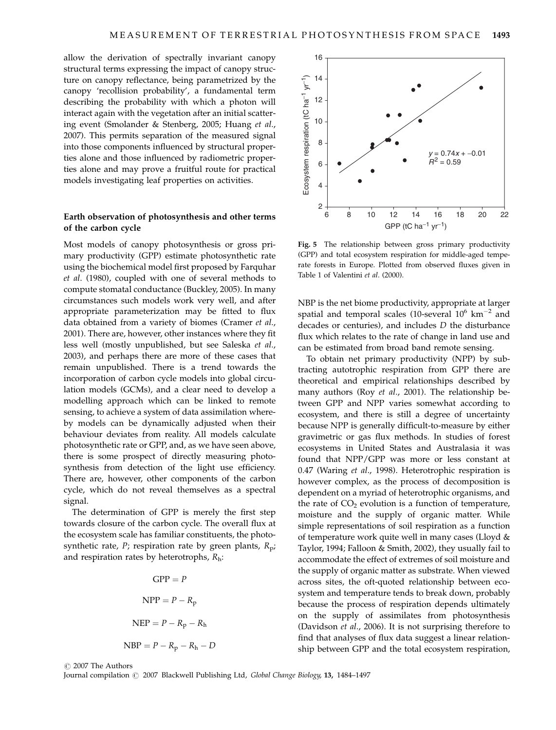allow the derivation of spectrally invariant canopy structural terms expressing the impact of canopy structure on canopy reflectance, being parametrized by the canopy 'recollision probability', a fundamental term describing the probability with which a photon will interact again with the vegetation after an initial scattering event (Smolander & Stenberg, 2005; Huang et al., 2007). This permits separation of the measured signal into those components influenced by structural properties alone and those influenced by radiometric properties alone and may prove a fruitful route for practical models investigating leaf properties on activities.

## Earth observation of photosynthesis and other terms of the carbon cycle

Most models of canopy photosynthesis or gross primary productivity (GPP) estimate photosynthetic rate using the biochemical model first proposed by Farquhar et al. (1980), coupled with one of several methods to compute stomatal conductance (Buckley, 2005). In many circumstances such models work very well, and after appropriate parameterization may be fitted to flux data obtained from a variety of biomes (Cramer et al., 2001). There are, however, other instances where they fit less well (mostly unpublished, but see Saleska et al., 2003), and perhaps there are more of these cases that remain unpublished. There is a trend towards the incorporation of carbon cycle models into global circulation models (GCMs), and a clear need to develop a modelling approach which can be linked to remote sensing, to achieve a system of data assimilation whereby models can be dynamically adjusted when their behaviour deviates from reality. All models calculate photosynthetic rate or GPP, and, as we have seen above, there is some prospect of directly measuring photosynthesis from detection of the light use efficiency. There are, however, other components of the carbon cycle, which do not reveal themselves as a spectral signal.

The determination of GPP is merely the first step towards closure of the carbon cycle. The overall flux at the ecosystem scale has familiar constituents, the photosynthetic rate, P; respiration rate by green plants,  $R_{\rm p}$ ; and respiration rates by heterotrophs,  $R_h$ :

$$
GPP = P
$$
  
NPP = P - R<sub>p</sub>  
NEP = P - R<sub>p</sub> - R<sub>h</sub>  
NBP = P - R<sub>p</sub> - R<sub>h</sub> - D



Fig. 5 The relationship between gross primary productivity (GPP) and total ecosystem respiration for middle-aged temperate forests in Europe. Plotted from observed fluxes given in Table 1 of Valentini et al. (2000).

NBP is the net biome productivity, appropriate at larger spatial and temporal scales (10-several  $10^6$  km<sup>-2</sup> and decades or centuries), and includes D the disturbance flux which relates to the rate of change in land use and can be estimated from broad band remote sensing.

To obtain net primary productivity (NPP) by subtracting autotrophic respiration from GPP there are theoretical and empirical relationships described by many authors (Roy et al., 2001). The relationship between GPP and NPP varies somewhat according to ecosystem, and there is still a degree of uncertainty because NPP is generally difficult-to-measure by either gravimetric or gas flux methods. In studies of forest ecosystems in United States and Australasia it was found that NPP/GPP was more or less constant at 0.47 (Waring et al., 1998). Heterotrophic respiration is however complex, as the process of decomposition is dependent on a myriad of heterotrophic organisms, and the rate of  $CO<sub>2</sub>$  evolution is a function of temperature, moisture and the supply of organic matter. While simple representations of soil respiration as a function of temperature work quite well in many cases (Lloyd & Taylor, 1994; Falloon & Smith, 2002), they usually fail to accommodate the effect of extremes of soil moisture and the supply of organic matter as substrate. When viewed across sites, the oft-quoted relationship between ecosystem and temperature tends to break down, probably because the process of respiration depends ultimately on the supply of assimilates from photosynthesis (Davidson et al., 2006). It is not surprising therefore to find that analyses of flux data suggest a linear relationship between GPP and the total ecosystem respiration,



Journal compilation  $\odot$  2007 Blackwell Publishing Ltd, Global Change Biology, 13, 1484–1497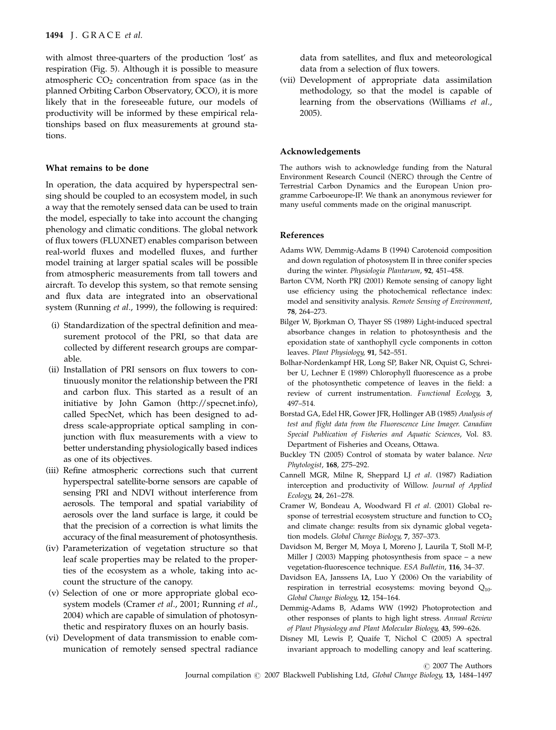with almost three-quarters of the production 'lost' as respiration (Fig. 5). Although it is possible to measure atmospheric  $CO<sub>2</sub>$  concentration from space (as in the planned Orbiting Carbon Observatory, OCO), it is more likely that in the foreseeable future, our models of productivity will be informed by these empirical relationships based on flux measurements at ground stations.

### What remains to be done

In operation, the data acquired by hyperspectral sensing should be coupled to an ecosystem model, in such a way that the remotely sensed data can be used to train the model, especially to take into account the changing phenology and climatic conditions. The global network of flux towers (FLUXNET) enables comparison between real-world fluxes and modelled fluxes, and further model training at larger spatial scales will be possible from atmospheric measurements from tall towers and aircraft. To develop this system, so that remote sensing and flux data are integrated into an observational system (Running et al., 1999), the following is required:

- (i) Standardization of the spectral definition and measurement protocol of the PRI, so that data are collected by different research groups are comparable.
- (ii) Installation of PRI sensors on flux towers to continuously monitor the relationship between the PRI and carbon flux. This started as a result of an initiative by John Gamon (http://specnet.info), called SpecNet, which has been designed to address scale-appropriate optical sampling in conjunction with flux measurements with a view to better understanding physiologically based indices as one of its objectives.
- (iii) Refine atmospheric corrections such that current hyperspectral satellite-borne sensors are capable of sensing PRI and NDVI without interference from aerosols. The temporal and spatial variability of aerosols over the land surface is large, it could be that the precision of a correction is what limits the accuracy of the final measurement of photosynthesis.
- (iv) Parameterization of vegetation structure so that leaf scale properties may be related to the properties of the ecosystem as a whole, taking into account the structure of the canopy.
- (v) Selection of one or more appropriate global ecosystem models (Cramer et al., 2001; Running et al., 2004) which are capable of simulation of photosynthetic and respiratory fluxes on an hourly basis.
- (vi) Development of data transmission to enable communication of remotely sensed spectral radiance

data from satellites, and flux and meteorological data from a selection of flux towers.

(vii) Development of appropriate data assimilation methodology, so that the model is capable of learning from the observations (Williams et al., 2005).

#### Acknowledgements

The authors wish to acknowledge funding from the Natural Environment Research Council (NERC) through the Centre of Terrestrial Carbon Dynamics and the European Union programme Carboeurope-IP. We thank an anonymous reviewer for many useful comments made on the original manuscript.

#### References

- Adams WW, Demmig-Adams B (1994) Carotenoid composition and down regulation of photosystem II in three conifer species during the winter. Physiologia Plantarum, 92, 451–458.
- Barton CVM, North PRJ (2001) Remote sensing of canopy light use efficiency using the photochemical reflectance index: model and sensitivity analysis. Remote Sensing of Environment, 78, 264–273.
- Bilger W, Bjorkman O, Thayer SS (1989) Light-induced spectral absorbance changes in relation to photosynthesis and the epoxidation state of xanthophyll cycle components in cotton leaves. Plant Physiology, 91, 542–551.
- Bolhar-Nordenkampf HR, Long SP, Baker NR, Oquist G, Schreiber U, Lechner E (1989) Chlorophyll fluorescence as a probe of the photosynthetic competence of leaves in the field: a review of current instrumentation. Functional Ecology, 3, 497–514.
- Borstad GA, Edel HR, Gower JFR, Hollinger AB (1985) Analysis of test and flight data from the Fluorescence Line Imager. Canadian Special Publication of Fisheries and Aquatic Sciences, Vol. 83. Department of Fisheries and Oceans, Ottawa.
- Buckley TN (2005) Control of stomata by water balance. New Phytologist, 168, 275–292.
- Cannell MGR, Milne R, Sheppard LJ et al. (1987) Radiation interception and productivity of Willow. Journal of Applied Ecology, 24, 261–278.
- Cramer W, Bondeau A, Woodward FI et al. (2001) Global response of terrestrial ecosystem structure and function to  $CO<sub>2</sub>$ and climate change: results from six dynamic global vegetation models. Global Change Biology, 7, 357–373.
- Davidson M, Berger M, Moya I, Moreno J, Laurila T, Stoll M-P, Miller J (2003) Mapping photosynthesis from space – a new vegetation-fluorescence technique. ESA Bulletin, 116, 34–37.
- Davidson EA, Janssens IA, Luo Y (2006) On the variability of respiration in terrestrial ecosystems: moving beyond Q10. Global Change Biology, 12, 154–164.
- Demmig-Adams B, Adams WW (1992) Photoprotection and other responses of plants to high light stress. Annual Review of Plant Physiology and Plant Molecular Biology, 43, 599–626.
- Disney MI, Lewis P, Quaife T, Nichol C (2005) A spectral invariant approach to modelling canopy and leaf scattering.

 $\degree$  2007 The Authors

Journal compilation  $\odot$  2007 Blackwell Publishing Ltd, Global Change Biology, 13, 1484–1497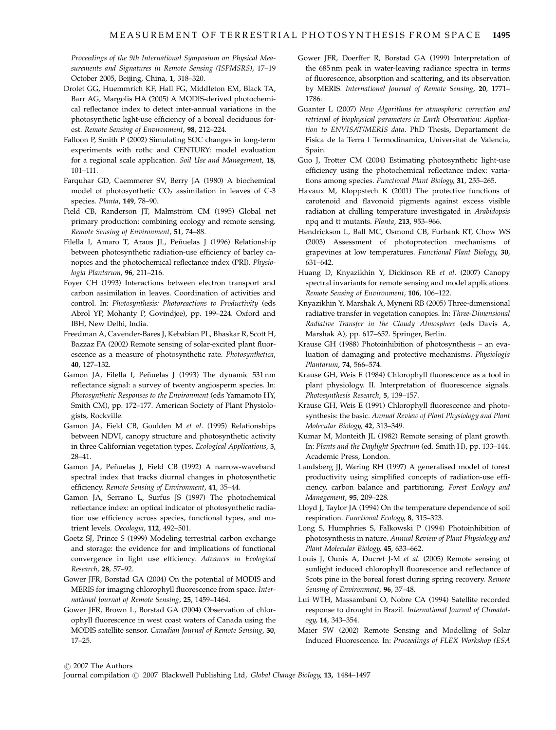Proceedings of the 9th International Symposium on Physical Measurements and Signatures in Remote Sensing (ISPMSRS), 17–19 October 2005, Beijing, China, 1, 318–320.

- Drolet GG, Huemmrich KF, Hall FG, Middleton EM, Black TA, Barr AG, Margolis HA (2005) A MODIS-derived photochemical reflectance index to detect inter-annual variations in the photosynthetic light-use efficiency of a boreal deciduous forest. Remote Sensing of Environment, 98, 212–224.
- Falloon P, Smith P (2002) Simulating SOC changes in long-term experiments with rothc and CENTURY: model evaluation for a regional scale application. Soil Use and Management, 18, 101–111.
- Farquhar GD, Caemmerer SV, Berry JA (1980) A biochemical model of photosynthetic  $CO<sub>2</sub>$  assimilation in leaves of  $C<sub>-3</sub>$ species. Planta, 149, 78–90.
- Field CB, Randerson JT, Malmström CM (1995) Global net primary production: combining ecology and remote sensing. Remote Sensing of Environment, 51, 74–88.
- Filella I, Amaro T, Araus JL, Peñuelas J (1996) Relationship between photosynthetic radiation-use efficiency of barley canopies and the photochemical reflectance index (PRI). Physiologia Plantarum, 96, 211–216.
- Foyer CH (1993) Interactions between electron transport and carbon assimilation in leaves. Coordination of activities and control. In: Photosynthesis: Photoreactions to Productivity (eds Abrol YP, Mohanty P, Govindjee), pp. 199–224. Oxford and IBH, New Delhi, India.
- Freedman A, Cavender-Bares J, Kebabian PL, Bhaskar R, Scott H, Bazzaz FA (2002) Remote sensing of solar-excited plant fluorescence as a measure of photosynthetic rate. Photosynthetica, 40, 127–132.
- Gamon JA, Filella I, Peñuelas J (1993) The dynamic 531 nm reflectance signal: a survey of twenty angiosperm species. In: Photosynthetic Responses to the Environment (eds Yamamoto HY, Smith CM), pp. 172–177. American Society of Plant Physiologists, Rockville.
- Gamon JA, Field CB, Goulden M et al. (1995) Relationships between NDVI, canopy structure and photosynthetic activity in three Californian vegetation types. Ecological Applications, 5, 28–41.
- Gamon JA, Peñuelas J, Field CB (1992) A narrow-waveband spectral index that tracks diurnal changes in photosynthetic efficiency. Remote Sensing of Environment, 41, 35–44.
- Gamon JA, Serrano L, Surfus JS (1997) The photochemical reflectance index: an optical indicator of photosynthetic radiation use efficiency across species, functional types, and nutrient levels. Oecologia, 112, 492–501.
- Goetz SJ, Prince S (1999) Modeling terrestrial carbon exchange and storage: the evidence for and implications of functional convergence in light use efficiency. Advances in Ecological Research, 28, 57–92.
- Gower JFR, Borstad GA (2004) On the potential of MODIS and MERIS for imaging chlorophyll fluorescence from space. International Journal of Remote Sensing, 25, 1459–1464.
- Gower JFR, Brown L, Borstad GA (2004) Observation of chlorophyll fluorescence in west coast waters of Canada using the MODIS satellite sensor. Canadian Journal of Remote Sensing, 30, 17–25.
- Gower JFR, Doerffer R, Borstad GA (1999) Interpretation of the 685 nm peak in water-leaving radiance spectra in terms of fluorescence, absorption and scattering, and its observation by MERIS. International Journal of Remote Sensing, 20, 1771– 1786.
- Guanter L (2007) New Algorithms for atmospheric correction and retrieval of biophysical parameters in Earth Observation: Application to ENVISAT/MERIS data. PhD Thesis, Departament de Fisica de la Terra I Termodinamica, Universitat de Valencia, Spain.
- Guo J, Trotter CM (2004) Estimating photosynthetic light-use efficiency using the photochemical reflectance index: variations among species. Functional Plant Biology, 31, 255-265.
- Havaux M, Kloppstech K (2001) The protective functions of carotenoid and flavonoid pigments against excess visible radiation at chilling temperature investigated in Arabidopsis npq and tt mutants. Planta, 213, 953–966.
- Hendrickson L, Ball MC, Osmond CB, Furbank RT, Chow WS (2003) Assessment of photoprotection mechanisms of grapevines at low temperatures. Functional Plant Biology, 30, 631–642.
- Huang D, Knyazikhin Y, Dickinson RE et al. (2007) Canopy spectral invariants for remote sensing and model applications. Remote Sensing of Environment, 106, 106–122.
- Knyazikhin Y, Marshak A, Myneni RB (2005) Three-dimensional radiative transfer in vegetation canopies. In: Three-Dimensional Radiative Transfer in the Cloudy Atmosphere (eds Davis A, Marshak A), pp. 617–652. Springer, Berlin.
- Krause GH (1988) Photoinhibition of photosynthesis an evaluation of damaging and protective mechanisms. Physiologia Plantarum, 74, 566–574.
- Krause GH, Weis E (1984) Chlorophyll fluorescence as a tool in plant physiology. II. Interpretation of fluorescence signals. Photosynthesis Research, 5, 139–157.
- Krause GH, Weis E (1991) Chlorophyll fluorescence and photosynthesis: the basic. Annual Review of Plant Physiology and Plant Molecular Biology, 42, 313–349.
- Kumar M, Monteith JL (1982) Remote sensing of plant growth. In: Plants and the Daylight Spectrum (ed. Smith H), pp. 133–144. Academic Press, London.
- Landsberg JJ, Waring RH (1997) A generalised model of forest productivity using simplified concepts of radiation-use efficiency, carbon balance and partitioning. Forest Ecology and Management, 95, 209–228.
- Lloyd J, Taylor JA (1994) On the temperature dependence of soil respiration. Functional Ecology, 8, 315–323.
- Long S, Humphries S, Falkowski P (1994) Photoinhibition of photosynthesis in nature. Annual Review of Plant Physiology and Plant Molecular Biology, 45, 633–662.
- Louis J, Ounis A, Ducret J-M et al. (2005) Remote sensing of sunlight induced chlorophyll fluorescence and reflectance of Scots pine in the boreal forest during spring recovery. Remote Sensing of Environment, 96, 37–48.
- Lui WTH, Massambani O, Nobre CA (1994) Satellite recorded response to drought in Brazil. International Journal of Climatology, 14, 343–354.
- Maier SW (2002) Remote Sensing and Modelling of Solar Induced Fluorescence. In: Proceedings of FLEX Workshop (ESA

 $\odot$  2007 The Authors

Journal compilation  $\odot$  2007 Blackwell Publishing Ltd, Global Change Biology, 13, 1484–1497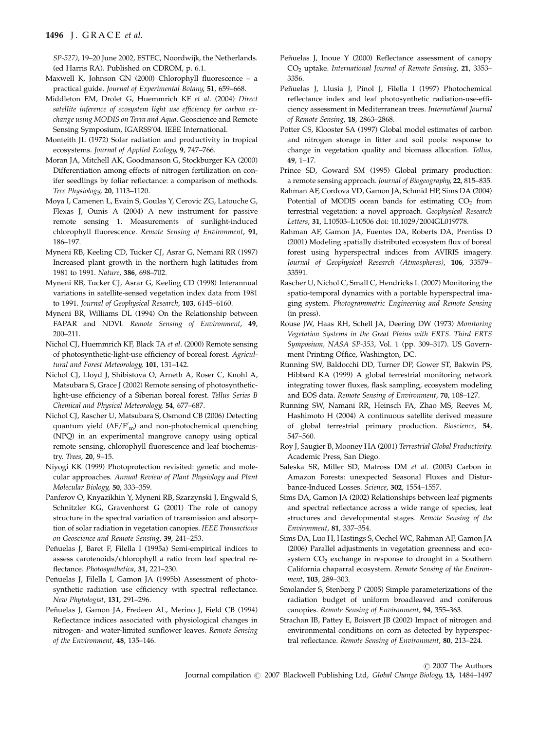SP-527), 19–20 June 2002, ESTEC, Noordwijk, the Netherlands. (ed Harris RA). Published on CDROM, p. 6.1.

- Maxwell K, Johnson GN (2000) Chlorophyll fluorescence a practical guide. Journal of Experimental Botany, 51, 659–668.
- Middleton EM, Drolet G, Huemmrich KF et al. (2004) Direct satellite inference of ecosystem light use efficiency for carbon exchange using MODIS on Terra and Aqua. Geoscience and Remote Sensing Symposium, IGARSS'04. IEEE International.
- Monteith JL (1972) Solar radiation and productivity in tropical ecosystems. Journal of Applied Ecology, 9, 747–766.
- Moran JA, Mitchell AK, Goodmanson G, Stockburger KA (2000) Differentiation among effects of nitrogen fertilization on conifer seedlings by foliar reflectance: a comparison of methods. Tree Physiology, 20, 1113–1120.
- Moya I, Camenen L, Evain S, Goulas Y, Cerovic ZG, Latouche G, Flexas J, Ounis A (2004) A new instrument for passive remote sensing 1. Measurements of sunlight-induced chlorophyll fluorescence. Remote Sensing of Environment, 91, 186–197.
- Myneni RB, Keeling CD, Tucker CJ, Asrar G, Nemani RR (1997) Increased plant growth in the northern high latitudes from 1981 to 1991. Nature, 386, 698–702.
- Myneni RB, Tucker CJ, Asrar G, Keeling CD (1998) Interannual variations in satellite-sensed vegetation index data from 1981 to 1991. Journal of Geophysical Research, 103, 6145–6160.
- Myneni BR, Williams DL (1994) On the Relationship between FAPAR and NDVI. Remote Sensing of Environment, 49, 200–211.
- Nichol CJ, Huemmrich KF, Black TA et al. (2000) Remote sensing of photosynthetic-light-use efficiency of boreal forest. Agricultural and Forest Meteorology, 101, 131–142.
- Nichol CJ, Lloyd J, Shibistova O, Arneth A, Roser C, Knohl A, Matsubara S, Grace J (2002) Remote sensing of photosyntheticlight-use efficiency of a Siberian boreal forest. Tellus Series B Chemical and Physical Meteorology, 54, 677–687.
- Nichol CJ, Rascher U, Matsubara S, Osmond CB (2006) Detecting quantum yield  $(\Delta F/F'_{m})$  and non-photochemical quenching (NPQ) in an experimental mangrove canopy using optical remote sensing, chlorophyll fluorescence and leaf biochemistry. Trees, 20, 9–15.
- Niyogi KK (1999) Photoprotection revisited: genetic and molecular approaches. Annual Review of Plant Physiology and Plant Molecular Biology, 50, 333–359.
- Panferov O, Knyazikhin Y, Myneni RB, Szarzynski J, Engwald S, Schnitzler KG, Gravenhorst G (2001) The role of canopy structure in the spectral variation of transmission and absorption of solar radiation in vegetation canopies. IEEE Transactions on Geoscience and Remote Sensing, 39, 241–253.
- Peñuelas J, Baret F, Filella I (1995a) Semi-empirical indices to assess carotenoids/chlorophyll a ratio from leaf spectral reflectance. Photosynthetica, 31, 221–230.
- Peñuelas J, Filella I, Gamon JA (1995b) Assessment of photosynthetic radiation use efficiency with spectral reflectance. New Phytologist, 131, 291–296.
- Peñuelas J, Gamon JA, Fredeen AL, Merino J, Field CB (1994) Reflectance indices associated with physiological changes in nitrogen- and water-limited sunflower leaves. Remote Sensing of the Environment, 48, 135–146.
- Peñuelas J, Inoue Y (2000) Reflectance assessment of canopy CO<sub>2</sub> uptake. International Journal of Remote Sensing, 21, 3353– 3356.
- Peñuelas J, Llusia J, Pinol J, Filella I (1997) Photochemical reflectance index and leaf photosynthetic radiation-use-efficiency assessment in Mediterranean trees. International Journal of Remote Sensing, 18, 2863–2868.
- Potter CS, Klooster SA (1997) Global model estimates of carbon and nitrogen storage in litter and soil pools: response to change in vegetation quality and biomass allocation. Tellus, 49, 1–17.
- Prince SD, Goward SM (1995) Global primary production: a remote sensing approach. Journal of Biogeography, 22, 815–835.
- Rahman AF, Cordova VD, Gamon JA, Schmid HP, Sims DA (2004) Potential of MODIS ocean bands for estimating  $CO<sub>2</sub>$  from terrestrial vegetation: a novel approach. Geophysical Research Letters, 31, L10503–L10506 doi: 10.1029/2004GL019778.
- Rahman AF, Gamon JA, Fuentes DA, Roberts DA, Prentiss D (2001) Modeling spatially distributed ecosystem flux of boreal forest using hyperspectral indices from AVIRIS imagery. Journal of Geophysical Research (Atmospheres), 106, 33579– 33591.
- Rascher U, Nichol C, Small C, Hendricks L (2007) Monitoring the spatio-temporal dynamics with a portable hyperspectral imaging system. Photogrammetric Engineering and Remote Sensing (in press).
- Rouse JW, Haas RH, Schell JA, Deering DW (1973) Monitoring Vegetation Systems in the Great Plains with ERTS. Third ERTS Symposium, NASA SP-353, Vol. 1 (pp. 309–317). US Government Printing Office, Washington, DC.
- Running SW, Baldocchi DD, Turner DP, Gower ST, Bakwin PS, Hibbard KA (1999) A global terrestrial monitoring network integrating tower fluxes, flask sampling, ecosystem modeling and EOS data. Remote Sensing of Environment, 70, 108–127.
- Running SW, Namani RR, Heinsch FA, Zhao MS, Reeves M, Hashimoto H (2004) A continuous satellite derived measure of global terrestrial primary production. Bioscience, 54, 547–560.
- Roy J, Saugier B, Mooney HA (2001) Terrestrial Global Productivity. Academic Press, San Diego.
- Saleska SR, Miller SD, Matross DM et al. (2003) Carbon in Amazon Forests: unexpected Seasonal Fluxes and Disturbance-Induced Losses. Science, 302, 1554–1557.
- Sims DA, Gamon JA (2002) Relationships between leaf pigments and spectral reflectance across a wide range of species, leaf structures and developmental stages. Remote Sensing of the Environment, 81, 337–354.
- Sims DA, Luo H, Hastings S, Oechel WC, Rahman AF, Gamon JA (2006) Parallel adjustments in vegetation greenness and ecosystem  $CO<sub>2</sub>$  exchange in response to drought in a Southern California chaparral ecosystem. Remote Sensing of the Environment, 103, 289–303.
- Smolander S, Stenberg P (2005) Simple parameterizations of the radiation budget of uniform broadleaved and coniferous canopies. Remote Sensing of Environment, 94, 355–363.
- Strachan IB, Pattey E, Boisvert JB (2002) Impact of nitrogen and environmental conditions on corn as detected by hyperspectral reflectance. Remote Sensing of Environment, 80, 213–224.